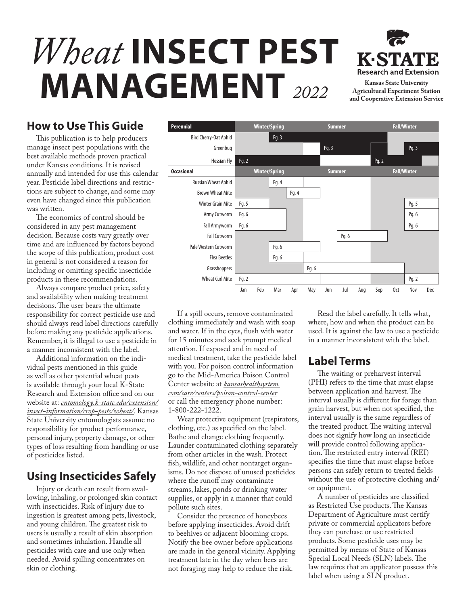# *Wheat* **INSECT PEST MANAGEMENT** *2022* **Kansas State University**



**Agricultural Experiment Station and Cooperative Extension Service**

## **How to Use This Guide**

This publication is to help producers manage insect pest populations with the best available methods proven practical under Kansas conditions. It is revised annually and intended for use this calendar year. Pesticide label directions and restrictions are subject to change, and some may even have changed since this publication was written.

The economics of control should be considered in any pest management decision. Because costs vary greatly over time and are influenced by factors beyond the scope of this publication, product cost in general is not considered a reason for including or omitting specific insecticide products in these recommendations.

Always compare product price, safety and availability when making treatment decisions. The user bears the ultimate responsibility for correct pesticide use and should always read label directions carefully before making any pesticide applications. Remember, it is illegal to use a pesticide in a manner inconsistent with the label.

Additional information on the individual pests mentioned in this guide as well as other potential wheat pests is available through your local K-State Research and Extension office and on our website at: *[entomology.k-state.edu/extension/](http://entomology.k-state.edu/extension/insect-information/crop-pests/wheat/) [insect-information/crop-pests/wheat/](http://entomology.k-state.edu/extension/insect-information/crop-pests/wheat/)*. Kansas State University entomologists assume no responsibility for product performance, personal injury, property damage, or other types of loss resulting from handling or use of pesticides listed.

## **Using Insecticides Safely**

Injury or death can result from swallowing, inhaling, or prolonged skin contact with insecticides. Risk of injury due to ingestion is greatest among pets, livestock, and young children. The greatest risk to users is usually a result of skin absorption and sometimes inhalation. Handle all pesticides with care and use only when needed. Avoid spilling concentrates on skin or clothing.



If a spill occurs, remove contaminated clothing immediately and wash with soap and water. If in the eyes, flush with water for 15 minutes and seek prompt medical attention. If exposed and in need of medical treatment, take the pesticide label with you. For poison control information go to the Mid-America Poison Control Center website at *[kansashealthsystem.](http://www.kansashealthsystem.com/care/centers/poison-control-center) [com/care/centers/poison-control-center](http://www.kansashealthsystem.com/care/centers/poison-control-center)* or call the emergency phone number: 1-800-222-1222.

Wear protective equipment (respirators, clothing, etc.) as specified on the label. Bathe and change clothing frequently. Launder contaminated clothing separately from other articles in the wash. Protect fish, wildlife, and other nontarget organisms. Do not dispose of unused pesticides where the runoff may contaminate streams, lakes, ponds or drinking water supplies, or apply in a manner that could pollute such sites.

Consider the presence of honeybees before applying insecticides. Avoid drift to beehives or adjacent blooming crops. Notify the bee owner before applications are made in the general vicinity. Applying treatment late in the day when bees are not foraging may help to reduce the risk.

Read the label carefully. It tells what, where, how and when the product can be used. It is against the law to use a pesticide in a manner inconsistent with the label.

## **Label Terms**

The waiting or preharvest interval (PHI) refers to the time that must elapse between application and harvest. The interval usually is different for forage than grain harvest, but when not specified, the interval usually is the same regardless of the treated product. The waiting interval does not signify how long an insecticide will provide control following application. The restricted entry interval (REI) specifies the time that must elapse before persons can safely return to treated fields without the use of protective clothing and/ or equipment.

A number of pesticides are classified as Restricted Use products. The Kansas Department of Agriculture must certify private or commercial applicators before they can purchase or use restricted products. Some pesticide uses may be permitted by means of State of Kansas Special Local Needs (SLN) labels. The law requires that an applicator possess this label when using a SLN product.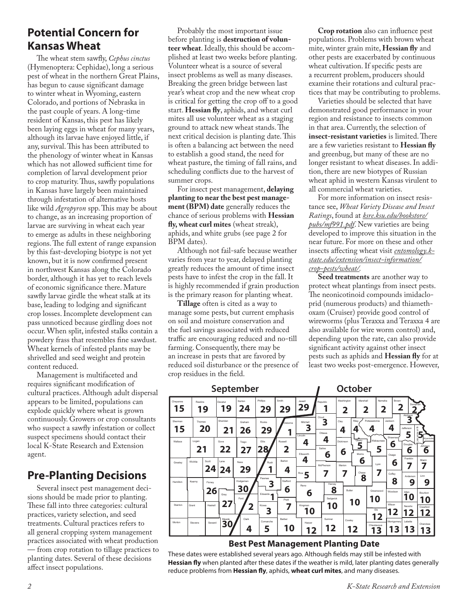## **Potential Concern for Kansas Wheat**

The wheat stem sawfly, *Cephus cinctus* (Hymenoptera: Cephidae), long a serious pest of wheat in the northern Great Plains, has begun to cause significant damage to winter wheat in Wyoming, eastern Colorado, and portions of Nebraska in the past couple of years. A long-time resident of Kansas, this pest has likely been laying eggs in wheat for many years, although its larvae have enjoyed little, if any, survival. This has been attributed to the phenology of winter wheat in Kansas which has not allowed sufficient time for completion of larval development prior to crop maturity. Thus, sawfly populations in Kansas have largely been maintained through infestation of alternative hosts like wild *Agropyron* spp. This may be about to change, as an increasing proportion of larvae are surviving in wheat each year to emerge as adults in these neighboring regions. The full extent of range expansion by this fast-developing biotype is not yet known, but it is now confirmed present in northwest Kansas along the Colorado border, although it has yet to reach levels of economic significance there. Mature sawfly larvae girdle the wheat stalk at its base, leading to lodging and significant crop losses. Incomplete development can pass unnoticed because girdling does not occur. When split, infested stalks contain a powdery frass that resembles fine sawdust. Wheat kernels of infested plants may be shrivelled and seed weight and protein content reduced.

Management is multifaceted and requires significant modification of cultural practices. Although adult dispersal appears to be limited, populations can explode quickly where wheat is grown continuously. Growers or crop consultants who suspect a sawfly infestation or collect suspect specimens should contact their local K-State Research and Extension agent.

## **Pre-Planting Decisions**

Several insect pest management decisions should be made prior to planting. These fall into three categories: cultural practices, variety selection, and seed treatments. Cultural practices refers to all general cropping system management practices associated with wheat production — from crop rotation to tillage practices to planting dates. Several of these decisions affect insect populations.

Probably the most important issue before planting is **destruction of volunteer wheat**. Ideally, this should be accomplished at least two weeks before planting. Volunteer wheat is a source of several insect problems as well as many diseases. Breaking the green bridge between last year's wheat crop and the new wheat crop is critical for getting the crop off to a good start. **Hessian fly**, aphids, and wheat curl mites all use volunteer wheat as a staging ground to attack new wheat stands. The next critical decision is planting date. This is often a balancing act between the need to establish a good stand, the need for wheat pasture, the timing of fall rains, and scheduling conflicts due to the harvest of summer crops.

For insect pest management, **delaying planting to near the best pest management (BPM) date** generally reduces the chance of serious problems with **Hessian fly, wheat curl mites** (wheat streak), aphids, and white grubs (see page 2 for BPM dates).

Although not fail-safe because weather varies from year to year, delayed planting greatly reduces the amount of time insect pests have to infest the crop in the fall. It is highly recommended if grain production is the primary reason for planting wheat.

**Tillage** often is cited as a way to manage some pests, but current emphasis on soil and moisture conservation and the fuel savings associated with reduced traffic are encouraging reduced and no-till farming. Consequently, there may be an increase in pests that are favored by reduced soil disturbance or the presence of crop residues in the field.

**Crop rotation** also can influence pest populations. Problems with brown wheat mite, winter grain mite, **Hessian fly** and other pests are exacerbated by continuous wheat cultivation. If specific pests are a recurrent problem, producers should examine their rotations and cultural practices that may be contributing to problems.

Varieties should be selected that have demonstrated good performance in your region and resistance to insects common in that area. Currently, the selection of **insect-resistant varieties** is limited. There are a few varieties resistant to **Hessian fly** and greenbug, but many of these are no longer resistant to wheat diseases. In addition, there are new biotypes of Russian wheat aphid in western Kansas virulent to all commercial wheat varieties.

For more information on insect resistance see, *Wheat Variety Disease and Insect Ratings*, found at *[ksre.ksu.edu/bookstore/](http://ksre.ksu.edu/bookstore/pubs/mf991.pdf) [pubs/mf991.pdf](http://ksre.ksu.edu/bookstore/pubs/mf991.pdf)*. New varieties are being developed to improve this situation in the near future. For more on these and other insects affecting wheat visit *[entomology.k](http://entomology.k-state.edu/extension/insect-information/crop-pests/wheat/)[state.edu/extension/insect-information/](http://entomology.k-state.edu/extension/insect-information/crop-pests/wheat/) [crop-pests/wheat/](http://entomology.k-state.edu/extension/insect-information/crop-pests/wheat/).*

**Seed treatments** are another way to protect wheat plantings from insect pests. The neonicotinoid compounds imidacloprid (numerous products) and thiamethoxam (Cruiser) provide good control of wireworms (plus Teraxxa and Teraxxa 4 are also available for wire worm control) and, depending upon the rate, can also provide significant activity against other insect pests such as aphids and **Hessian fly** for at least two weeks post-emergence. However,



## **Approximate Planting Date**

These dates were established several years ago. Although fields may still be infested with **Hessian fly** when planted after these dates if the weather is mild, later planting dates generally reduce problems from **Hessian fly**, aphids, **wheat curl mites**, and many diseases.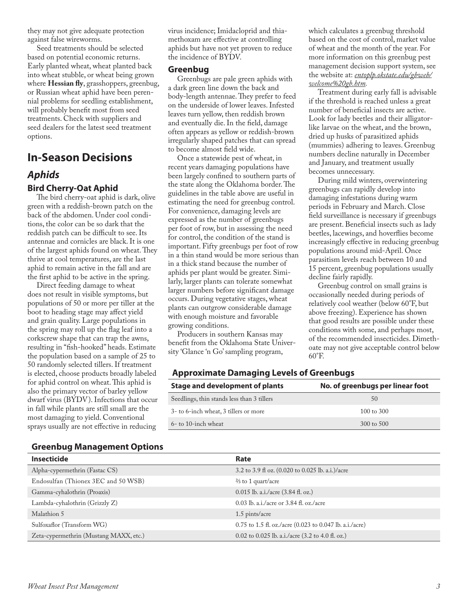they may not give adequate protection against false wireworms.

Seed treatments should be selected based on potential economic returns. Early planted wheat, wheat planted back into wheat stubble, or wheat being grown where **Hessian fly**, grasshoppers, greenbug, or Russian wheat aphid have been perennial problems for seedling establishment, will probably benefit most from seed treatments. Check with suppliers and seed dealers for the latest seed treatment options.

## **In-Season Decisions** *Aphids* **Bird Cherry-Oat Aphid**

The bird cherry-oat aphid is dark, olive green with a reddish-brown patch on the back of the abdomen. Under cool conditions, the color can be so dark that the reddish patch can be difficult to see. Its antennae and cornicles are black. It is one of the largest aphids found on wheat. They thrive at cool temperatures, are the last aphid to remain active in the fall and are the first aphid to be active in the spring.

Direct feeding damage to wheat does not result in visible symptoms, but populations of 50 or more per tiller at the boot to heading stage may affect yield and grain quality. Large populations in the spring may roll up the flag leaf into a corkscrew shape that can trap the awns, resulting in "fish-hooked" heads. Estimate the population based on a sample of 25 to 50 randomly selected tillers. If treatment is elected, choose products broadly labeled for aphid control on wheat. This aphid is also the primary vector of barley yellow dwarf virus (BYDV). Infections that occur in fall while plants are still small are the most damaging to yield. Conventional sprays usually are not effective in reducing

virus incidence; Imidacloprid and thiamethoxam are effective at controlling aphids but have not yet proven to reduce the incidence of BYDV.

#### **Greenbug**

Greenbugs are pale green aphids with a dark green line down the back and body-length antennae. They prefer to feed on the underside of lower leaves. Infested leaves turn yellow, then reddish brown and eventually die. In the field, damage often appears as yellow or reddish-brown irregularly shaped patches that can spread to become almost field wide.

Once a statewide pest of wheat, in recent years damaging populations have been largely confined to southern parts of the state along the Oklahoma border. The guidelines in the table above are useful in estimating the need for greenbug control. For convenience, damaging levels are expressed as the number of greenbugs per foot of row, but in assessing the need for control, the condition of the stand is important. Fifty greenbugs per foot of row in a thin stand would be more serious than in a thick stand because the number of aphids per plant would be greater. Similarly, larger plants can tolerate somewhat larger numbers before significant damage occurs. During vegetative stages, wheat plants can outgrow considerable damage with enough moisture and favorable growing conditions.

Producers in southern Kansas may benefit from the Oklahoma State University 'Glance 'n Go' sampling program,

which calculates a greenbug threshold based on the cost of control, market value of wheat and the month of the year. For more information on this greenbug pest management decision support system, see the website at: *[entoplp.okstate.edu/gbweb/](http://entoplp.okstate.edu/gbweb/welcome%20gb.htm) [welcome%20gb.htm](http://entoplp.okstate.edu/gbweb/welcome%20gb.htm).*

Treatment during early fall is advisable if the threshold is reached unless a great number of beneficial insects are active. Look for lady beetles and their alligatorlike larvae on the wheat, and the brown, dried up husks of parasitized aphids (mummies) adhering to leaves. Greenbug numbers decline naturally in December and January, and treatment usually becomes unnecessary.

During mild winters, overwintering greenbugs can rapidly develop into damaging infestations during warm periods in February and March. Close field surveillance is necessary if greenbugs are present. Beneficial insects such as lady beetles, lacewings, and hoverflies become increasingly effective in reducing greenbug populations around mid-April. Once parasitism levels reach between 10 and 15 percent, greenbug populations usually decline fairly rapidly.

Greenbug control on small grains is occasionally needed during periods of relatively cool weather (below 60°F, but above freezing). Experience has shown that good results are possible under these conditions with some, and perhaps most, of the recommended insecticides. Dimethoate may not give acceptable control below 60°F.

### **Approximate Damaging Levels of Greenbugs**

| Stage and development of plants            | No. of greenbugs per linear foot |
|--------------------------------------------|----------------------------------|
| Seedlings, thin stands less than 3 tillers | 50                               |
| 3- to 6-inch wheat, 3 tillers or more      | 100 to 300                       |
| 6- to 10-inch wheat                        | $300 \text{ to } 500$            |

| <b>Greenbug Management Options</b> |  |  |  |
|------------------------------------|--|--|--|
|------------------------------------|--|--|--|

| <b>Insecticide</b>                     | Rate                                                                |
|----------------------------------------|---------------------------------------------------------------------|
| Alpha-cypermethrin (Fastac CS)         | 3.2 to 3.9 fl oz. (0.020 to 0.025 lb. a.i.)/acre                    |
| Endosulfan (Thionex 3EC and 50 WSB)    | $\frac{2}{3}$ to 1 quart/acre                                       |
| Gamma-cyhalothrin (Proaxis)            | 0.015 lb. a.i./acre (3.84 fl. oz.)                                  |
| Lambda-cyhalothrin (Grizzly Z)         | $0.03$ lb. a.i./acre or 3.84 fl. oz./acre                           |
| Malathion 5                            | 1.5 pints/acre                                                      |
| Sulfoxaflor (Transform WG)             | $0.75$ to 1.5 fl. oz./acre $(0.023$ to 0.047 lb. a.i./acre)         |
| Zeta-cypermethrin (Mustang MAXX, etc.) | 0.02 to 0.025 lb. a.i./acre $(3.2 \text{ to } 4.0 \text{ ft. oz.})$ |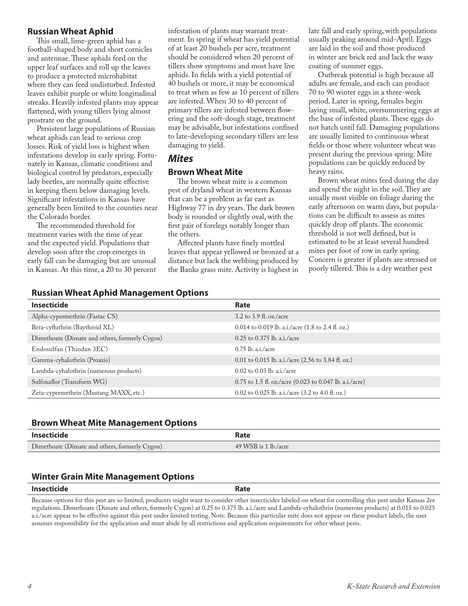#### **Russian Wheat Aphid**

This small, lime-green aphid has a football-shaped body and short cornicles and antennae. These aphids feed on the upper leaf surfaces and roll up the leaves to produce a protected microhabitat where they can feed undisturbed. Infested leaves exhibit purple or white longitudinal streaks. Heavily infested plants may appear flattened, with young tillers lying almost prostrate on the ground.

Persistent large populations of Russian wheat aphids can lead to serious crop losses. Risk of yield loss is highest when infestations develop in early spring. Fortunately in Kansas, climatic conditions and biological control by predators, especially lady beetles, are normally quite effective in keeping them below damaging levels. Significant infestations in Kansas have generally been limited to the counties near the Colorado border.

The recommended threshold for treatment varies with the time of year and the expected yield. Populations that develop soon after the crop emerges in early fall can be damaging but are unusual in Kansas. At this time, a 20 to 30 percent infestation of plants may warrant treatment. In spring if wheat has yield potential of at least 20 bushels per acre, treatment should be considered when 20 percent of tillers show symptoms and most have live aphids. In fields with a yield potential of 40 bushels or more, it may be economical to treat when as few as 10 percent of tillers are infested. When 30 to 40 percent of primary tillers are infested between flowering and the soft-dough stage, treatment may be advisable, but infestations confined to late-developing secondary tillers are less damaging to yield.

### *Mites*

#### **Brown Wheat Mite**

The brown wheat mite is a common pest of dryland wheat in western Kansas that can be a problem as far east as Highway 77 in dry years. The dark brown body is rounded or slightly oval, with the first pair of forelegs notably longer than the others.

Affected plants have finely mottled leaves that appear yellowed or bronzed at a distance but lack the webbing produced by the Banks grass mite. Activity is highest in late fall and early spring, with populations usually peaking around mid-April. Eggs are laid in the soil and those produced in winter are brick red and lack the waxy coating of summer eggs.

Outbreak potential is high because all adults are female, and each can produce 70 to 90 winter eggs in a three-week period. Later in spring, females begin laying small, white, oversummering eggs at the base of infested plants. These eggs do not hatch until fall. Damaging populations are usually limited to continuous wheat fields or those where volunteer wheat was present during the previous spring. Mite populations can be quickly reduced by heavy rains.

Brown wheat mites feed during the day and spend the night in the soil. They are usually most visible on foliage during the early afternoon on warm days, but populations can be difficult to assess as mites quickly drop off plants. The economic threshold is not well defined, but is estimated to be at least several hundred mites per foot of row in early spring. Concern is greater if plants are stressed or poorly tillered. This is a dry weather pest

#### **Russian Wheat Aphid Management Options**

| <b>Insecticide</b>                             | Rate                                                                 |
|------------------------------------------------|----------------------------------------------------------------------|
| Alpha-cypermethrin (Fastac CS)                 | 3.2 to 3.9 fl. oz./acre                                              |
| Beta-cyfluthrin (Baythroid XL)                 | 0.014 to 0.019 lb. a.i./acre $(1.8 \text{ to } 2.4 \text{ fl. oz.})$ |
| Dimethoate (Dimate and others, formerly Cygon) | $0.25$ to $0.375$ lb. a.i./acre                                      |
| Endosulfan (Thiodan 3EC)                       | $0.75$ lb. a.i./acre                                                 |
| Gamma-cyhalothrin (Proaxis)                    | 0.01 to 0.015 lb. a.i./acre (2.56 to 3.84 fl. oz.)                   |
| Lambda-cyhalothrin (numerous products)         | $0.02$ to $0.03$ lb. a.i./acre                                       |
| Sulfoxaflor (Transform WG)                     | $0.75$ to 1.5 fl. oz./acre $(0.023$ to 0.047 lb. a.i./acre)          |
| Zeta-cypermethrin (Mustang MAXX, etc.)         | 0.02 to 0.025 lb. a.i./acre $(3.2 \text{ to } 4.0 \text{ ft. oz.})$  |

#### **Brown Wheat Mite Management Options**

| Insecticide                                    | Rate                 |
|------------------------------------------------|----------------------|
| Dimethoate (Dimate and others, formerly Cygon) | 49 WSB is 1 lb./acre |

#### **Winter Grain Mite Management Options**

| Insecticide | Rate                                                                                                                                                          |
|-------------|---------------------------------------------------------------------------------------------------------------------------------------------------------------|
|             | Because options for this pest are so limited, producers might want to consider other insecticides labeled on wheat for controlling this pest under Kansas 2ee |

Because options for this pest are so limited, producers might want to consider other insecticides labeled on wheat for controlling this pest under Kansas 2ee regulations. Dimethoate (Dimate and others, formerly Cygon) at 0.25 to 0.375 lb. a.i./acre and Lambda-cyhalothrin (numerous products) at 0.015 to 0.025 a.i./acre appear to be effective against this pest under limited testing. Note: Because this particular mite does not appear on these product labels, the user assumes responsibility for the application and must abide by all restrictions and application requirements for other wheat pests.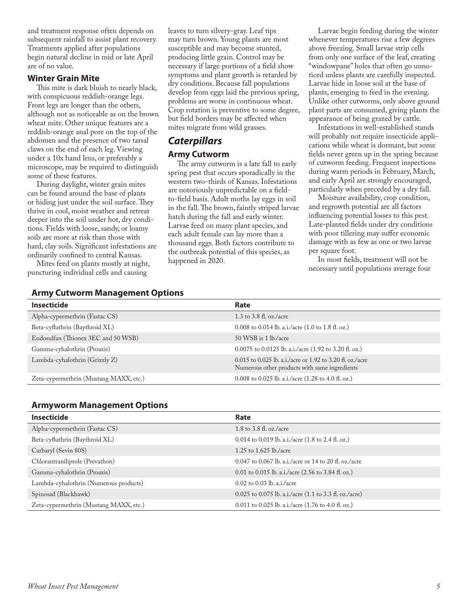and treatment response often depends on subsequent rainfall to assist plant recovery. Treatments applied after populations begin natural decline in mid or late April are of no value.

#### **Winter Grain Mite**

This mite is dark bluish to nearly black, with conspicuous reddish-orange legs. Front legs are longer than the others, although not as noticeable as on the brown wheat mite. Other unique features are a reddish-orange anal pore on the top of the abdomen and the presence of two tarsal claws on the end of each leg. Viewing under a 10x hand lens, or preferably a microscope, may be required to distinguish some of these features.

During daylight, winter grain mites can be found around the base of plants or hiding just under the soil surface. They thrive in cool, moist weather and retreat deeper into the soil under hot, dry conditions. Fields with loose, sandy, or loamy soils are more at risk than those with hard, clay soils. Significant infestations are ordinarily confined to central Kansas.

Mites feed on plants mostly at night, puncturing individual cells and causing

leaves to turn silvery-gray. Leaf tips may turn brown. Young plants are most susceptible and may become stunted, producing little grain. Control may be necessary if large portions of a field show symptoms and plant growth is retarded by dry conditions. Because fall populations develop from eggs laid the previous spring, problems are worse in continuous wheat. Crop rotation is preventive to some degree, but field borders may be affected when mites migrate from wild grasses.

## *Caterpillars* **Army Cutworm**

The army cutworm is a late fall to early spring pest that occurs sporadically in the western two-thirds of Kansas. Infestations are notoriously unpredictable on a fieldto-field basis. Adult moths lay eggs in soil in the fall. The brown, faintly striped larvae hatch during the fall and early winter. Larvae feed on many plant species, and each adult female can lay more than a thousand eggs. Both factors contribute to the outbreak potential of this species, as happened in 2020.

Larvae begin feeding during the winter whenever temperatures rise a few degrees above freezing. Small larvae strip cells from only one surface of the leaf, creating "windowpane" holes that often go unnoticed unless plants are carefully inspected. Larvae hide in loose soil at the base of plants, emerging to feed in the evening. Unlike other cutworms, only above ground plant parts are consumed, giving plants the appearance of being grazed by cattle.

Infestations in well-established stands will probably not require insecticide applications while wheat is dormant, but some fields never green up in the spring because of cutworm feeding. Frequent inspections during warm periods in February, March, and early April are strongly encouraged, particularly when preceded by a dry fall.

Moisture availability, crop condition, and regrowth potential are all factors influencing potential losses to this pest. Late-planted fields under dry conditions with poor tillering may suffer economic damage with as few as one or two larvae per square foot.

In most fields, treatment will not be necessary until populations average four

|  | <b>Army Cutworm Management Options</b> |  |
|--|----------------------------------------|--|
|--|----------------------------------------|--|

| <b>Insecticide</b>                     | Rate                                                                                                       |
|----------------------------------------|------------------------------------------------------------------------------------------------------------|
| Alpha-cypermethrin (Fastac CS)         | 1.3 to 3.8 fl. oz./acre                                                                                    |
| Beta-cyfluthrin (Baythroid XL)         | 0.008 to 0.014 lb. a.i./acre $(1.0 \text{ to } 1.8 \text{ ft. oz.})$                                       |
| Endosulfan (Thionex 3EC and 50 WSB)    | $50$ WSB is 1 lb./acre                                                                                     |
| Gamma-cyhalothrin (Proaxis)            | 0.0075 to 0.0125 lb. a.i./acre $(1.92 \text{ to } 3.20 \text{ ft. oz.})$                                   |
| Lambda-cyhalothrin (Grizzly Z)         | 0.015 to 0.025 lb. a.i./acre or 1.92 to 3.20 fl. oz./acre<br>Numerous other products with same ingredients |
| Zeta-cypermethrin (Mustang MAXX, etc.) | 0.008 to 0.025 lb. a.i./acre $(1.28 \text{ to } 4.0 \text{ ft. oz.})$                                      |

#### **Armyworm Management Options**

| <b>Insecticide</b>                     | Rate                                                                  |
|----------------------------------------|-----------------------------------------------------------------------|
| Alpha-cypermethrin (Fastac CS)         | 1.8 to 3.8 fl. oz./acre                                               |
| Beta-cyfluthrin (Baythroid XL)         | 0.014 to 0.019 lb. a.i./acre $(1.8 \text{ to } 2.4 \text{ fl. oz.})$  |
| Carbaryl (Sevin 80S)                   | 1.25 to $1.625$ lb./acre                                              |
| Chlorantraniliprole (Prevathon)        | 0.047 to 0.067 lb. a.i./acre or 14 to 20 fl. oz./acre                 |
| Gamma-cyhalothrin (Proaxis)            | 0.01 to 0.015 lb. a.i./acre $(2.56 \text{ to } 3.84 \text{ fl. oz.})$ |
| Lambda-cyhalothrin (Numerous products) | $0.02$ to $0.03$ lb. a.i./acre                                        |
| Spinosad (Blackhawk)                   | $0.025$ to 0.075 lb. a.i./acre (1.1 to 3.3 fl. oz./acre)              |
| Zeta-cypermethrin (Mustang MAXX, etc.) | 0.011 to 0.025 lb. a.i./acre $(1.76 \text{ to } 4.0 \text{ ft. oz.})$ |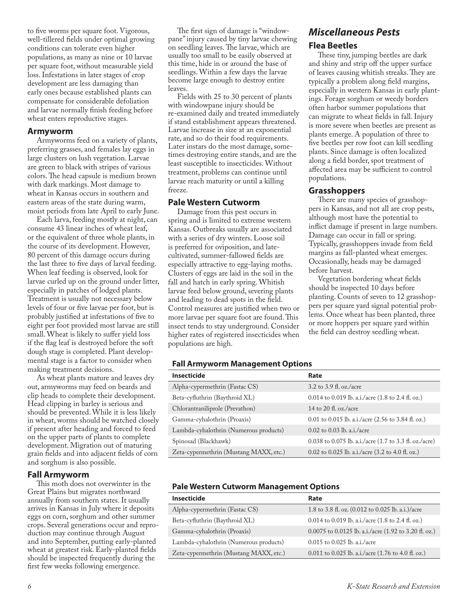to five worms per square foot. Vigorous, well-tillered fields under optimal growing conditions can tolerate even higher populations, as many as nine or 10 larvae per square foot, without measurable yield loss. Infestations in later stages of crop development are less damaging than early ones because established plants can compensate for considerable defoliation and larvae normally finish feeding before wheat enters reproductive stages.

#### **Armyworm**

Armyworms feed on a variety of plants, preferring grasses, and females lay eggs in large clusters on lush vegetation. Larvae are green to black with stripes of various colors. The head capsule is medium brown with dark markings. Most damage to wheat in Kansas occurs in southern and eastern areas of the state during warm, moist periods from late April to early June.

Each larva, feeding mostly at night, can consume 43 linear inches of wheat leaf, or the equivalent of three whole plants, in the course of its development. However, 80 percent of this damage occurs during the last three to five days of larval feeding. When leaf feeding is observed, look for larvae curled up on the ground under litter, especially in patches of lodged plants. Treatment is usually not necessary below levels of four or five larvae per foot, but is probably justified at infestations of five to eight per foot provided most larvae are still small. Wheat is likely to suffer yield loss if the flag leaf is destroyed before the soft dough stage is completed. Plant developmental stage is a factor to consider when making treatment decisions.

As wheat plants mature and leaves dry out, armyworms may feed on beards and clip heads to complete their development. Head clipping in barley is serious and should be prevented. While it is less likely in wheat, worms should be watched closely if present after heading and forced to feed on the upper parts of plants to complete development. Migration out of maturing grain fields and into adjacent fields of corn and sorghum is also possible.

#### **Fall Armyworm**

This moth does not overwinter in the Great Plains but migrates northward annually from southern states. It usually arrives in Kansas in July where it deposits eggs on corn, sorghum and other summer crops. Several generations occur and reproduction may continue through August and into September, putting early-planted wheat at greatest risk. Early-planted fields should be inspected frequently during the first few weeks following emergence.

The first sign of damage is "windowpane" injury caused by tiny larvae chewing on seedling leaves. The larvae, which are usually too small to be easily observed at this time, hide in or around the base of seedlings. Within a few days the larvae become large enough to destroy entire leaves.

*Miscellaneous Pests*

These tiny, jumping beetles are dark and shiny and strip off the upper surface of leaves causing whitish streaks. They are typically a problem along field margins, especially in western Kansas in early plantings. Forage sorghum or weedy borders often harbor summer populations that can migrate to wheat fields in fall. Injury is more severe when beetles are present as plants emerge. A population of three to five beetles per row foot can kill seedling plants. Since damage is often localized along a field border, spot treatment of affected area may be sufficient to control

There are many species of grasshoppers in Kansas, and not all are crop pests, although most have the potential to inflict damage if present in large numbers. Damage can occur in fall or spring. Typically, grasshoppers invade from field margins as fall-planted wheat emerges. Occasionally, heads may be damaged

Vegetation bordering wheat fields should be inspected 10 days before planting. Counts of seven to 12 grasshoppers per square yard signal potential problems. Once wheat has been planted, three or more hoppers per square yard within the field can destroy seedling wheat.

**Flea Beetles**

populations. **Grasshoppers**

before harvest.

Fields with 25 to 30 percent of plants with windowpane injury should be re-examined daily and treated immediately if stand establishment appears threatened. Larvae increase in size at an exponential rate, and so do their food requirements. Later instars do the most damage, sometimes destroying entire stands, and are the least susceptible to insecticides. Without treatment, problems can continue until larvae reach maturity or until a killing freeze.

#### **Pale Western Cutworm**

Damage from this pest occurs in spring and is limited to extreme western Kansas. Outbreaks usually are associated with a series of dry winters. Loose soil is preferred for oviposition, and latecultivated, summer-fallowed fields are especially attractive to egg-laying moths. Clusters of eggs are laid in the soil in the fall and hatch in early spring. Whitish larvae feed below ground, severing plants and leading to dead spots in the field. Control measures are justified when two or more larvae per square foot are found. This insect tends to stay underground. Consider higher rates of registered insecticides when populations are high.

#### **Fall Armyworm Management Options**

| <b>Insecticide</b>                     | Rate                                                                |
|----------------------------------------|---------------------------------------------------------------------|
| Alpha-cypermethrin (Fastac CS)         | $3.2$ to $3.9$ fl. oz./acre                                         |
| Beta-cyfluthrin (Baythroid XL)         | 0.014 to 0.019 lb. a.i./acre (1.8 to 2.4 fl. oz.)                   |
| Chlorantraniliprole (Prevathon)        | 14 to 20 fl. oz./acre                                               |
| Gamma-cyhalothrin (Proaxis)            | 0.01 to 0.015 lb. a.i./acre (2.56 to 3.84 fl. oz.)                  |
| Lambda-cyhalothrin (Numerous products) | $0.02$ to 0.03 lb. a.i./acre                                        |
| Spinosad (Blackhawk)                   | 0.038 to 0.075 lb. a.i./acre (1.7 to 3.3 fl. oz./acre)              |
| Zeta-cypermethrin (Mustang MAXX, etc.) | 0.02 to 0.025 lb. a.i./acre $(3.2 \text{ to } 4.0 \text{ ft. oz.})$ |

#### **Pale Western Cutworm Management Options**

| <b>Insecticide</b>                     | Rate                                                                  |
|----------------------------------------|-----------------------------------------------------------------------|
| Alpha-cypermethrin (Fastac CS)         | 1.8 to 3.8 fl. oz. (0.012 to 0.025 lb. a.i.)/acre                     |
| Beta-cyfluthrin (Baythroid XL)         | 0.014 to 0.019 lb. a.i./acre $(1.8 \text{ to } 2.4 \text{ fl. oz.})$  |
| Gamma-cyhalothrin (Proaxis)            | 0.0075 to 0.0125 lb. a.i./acre (1.92 to 3.20 fl. oz.)                 |
| Lambda-cyhalothrin (Numerous products) | $0.015$ to $0.025$ lb. a.i./acre                                      |
| Zeta-cypermethrin (Mustang MAXX, etc.) | 0.011 to 0.025 lb. a.i./acre $(1.76 \text{ to } 4.0 \text{ ft. oz.})$ |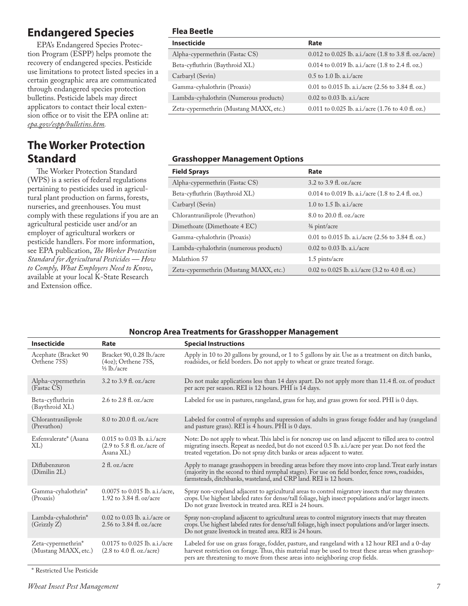## **Endangered Species**

EPA's Endangered Species Protection Program (ESPP) helps promote the recovery of endangered species. Pesticide use limitations to protect listed species in a certain geographic area are communicated through endangered species protection bulletins. Pesticide labels may direct applicators to contact their local extension office or to visit the EPA online at: *[epa.gov/espp/bulletins.htm.](http://epa.gov/espp/bulletins.htm)*

## **The Worker Protection Standard**

The Worker Protection Standard (WPS) is a series of federal regulations pertaining to pesticides used in agricultural plant production on farms, forests, nurseries, and greenhouses. You must comply with these regulations if you are an agricultural pesticide user and/or an employer of agricultural workers or pesticide handlers. For more information, see EPA publication, *The Worker Protection Standard for Agricultural Pesticides — How to Comply, What Employers Need to Know*, available at your local K-State Research and Extension office.

### **Flea Beetle**

| Insecticide                            | Rate                                                                  |
|----------------------------------------|-----------------------------------------------------------------------|
| Alpha-cypermethrin (Fastac CS)         | $0.012$ to $0.025$ lb. a.i./acre (1.8 to 3.8 fl. oz./acre)            |
| Beta-cyfluthrin (Baythroid XL)         | 0.014 to 0.019 lb. a.i./acre $(1.8 \text{ to } 2.4 \text{ fl. oz.})$  |
| Carbaryl (Sevin)                       | $0.5$ to 1.0 lb. a.i./acre                                            |
| Gamma-cyhalothrin (Proaxis)            | 0.01 to 0.015 lb. a.i./acre (2.56 to 3.84 fl. oz.)                    |
| Lambda-cyhalothrin (Numerous products) | $0.02$ to $0.03$ lb. a.i./acre                                        |
| Zeta-cypermethrin (Mustang MAXX, etc.) | 0.011 to 0.025 lb. a.i./acre $(1.76 \text{ to } 4.0 \text{ ft. oz.})$ |

### **Grasshopper Management Options**

| <b>Field Sprays</b>                    | Rate                                                                  |
|----------------------------------------|-----------------------------------------------------------------------|
| Alpha-cypermethrin (Fastac CS)         | 3.2 to 3.9 fl. oz./acre                                               |
| Beta-cyfluthrin (Baythroid XL)         | 0.014 to 0.019 lb. a.i./acre $(1.8 \text{ to } 2.4 \text{ fl. oz.})$  |
| Carbaryl (Sevin)                       | 1.0 to 1.5 lb. a.i./acre                                              |
| Chlorantraniliprole (Prevathon)        | 8.0 to 20.0 fl. oz./acre                                              |
| Dimethoate (Dimethoate 4 EC)           | $\frac{3}{4}$ pint/acre                                               |
| Gamma-cyhalothrin (Proaxis)            | 0.01 to 0.015 lb. a.i./acre $(2.56 \text{ to } 3.84 \text{ fl. oz.})$ |
| Lambda-cyhalothrin (numerous products) | $0.02$ to $0.03$ lb. a.i./acre                                        |
| Malathion 57                           | 1.5 pints/acre                                                        |
| Zeta-cypermethrin (Mustang MAXX, etc.) | 0.02 to 0.025 lb. a.i./acre $(3.2 \text{ to } 4.0 \text{ ft. oz.})$   |

#### **Noncrop Area Treatments for Grasshopper Management**

| <b>Insecticide</b>                         | Rate                                                                                          | <b>Special Instructions</b>                                                                                                                                                                                                                                                             |
|--------------------------------------------|-----------------------------------------------------------------------------------------------|-----------------------------------------------------------------------------------------------------------------------------------------------------------------------------------------------------------------------------------------------------------------------------------------|
| Acephate (Bracket 90<br>Orthene 75S)       | Bracket 90, 0.28 lb./acre<br>$(4oz)$ ; Orthene 75S,<br>$\frac{1}{3}$ lb./acre                 | Apply in 10 to 20 gallons by ground, or 1 to 5 gallons by air. Use as a treatment on ditch banks,<br>roadsides, or field borders. Do not apply to wheat or graze treated forage.                                                                                                        |
| Alpha-cypermethrin<br>(Fastac CS)          | 3.2 to 3.9 fl. oz./acre                                                                       | Do not make applications less than 14 days apart. Do not apply more than 11.4 fl. oz. of product<br>per acre per season. REI is 12 hours. PHI is 14 days.                                                                                                                               |
| Beta-cyfluthrin<br>(Baythroid XL)          | 2.6 to 2.8 fl. oz./acre                                                                       | Labeled for use in pastures, rangeland, grass for hay, and grass grown for seed. PHI is 0 days.                                                                                                                                                                                         |
| Chlorantraniliprole<br>(Prevathon)         | 8.0 to 20.0 fl. oz./acre                                                                      | Labeled for control of nymphs and supression of adults in grass forage fodder and hay (rangeland<br>and pasture grass). REI is 4 hours. PHI is 0 days.                                                                                                                                  |
| Esfenvalerate* (Asana<br>XL)               | $0.015$ to 0.03 lb. a.i./acre<br>$(2.9 \text{ to } 5.8 \text{ fl. oz./acre of})$<br>Asana XL) | Note: Do not apply to wheat. This label is for noncrop use on land adjacent to tilled area to control<br>migrating insects. Repeat as needed, but do not exceed 0.5 lb. a.i./acre per year. Do not feed the<br>treated vegetation. Do not spray ditch banks or areas adjacent to water. |
| Diflubenzuron<br>(Dimilin 2L)              | 2 fl. oz./acre                                                                                | Apply to manage grasshoppers in breeding areas before they move into crop land. Treat early instars<br>(majority in the second to third nymphal stages). For use on field border, fence rows, roadsides,<br>farmsteads, ditchbanks, wasteland, and CRP land. REI is 12 hours.           |
| Gamma-cyhalothrin*<br>(Proaxis)            | 0.0075 to 0.015 lb. a.i./acre,<br>1.92 to 3.84 fl. oz/acre                                    | Spray non-cropland adjacent to agricultural areas to control migratory insects that may threaten<br>crops. Use highest labeled rates for dense/tall foliage, high insect populations and/or larger insects.<br>Do not graze livestock in treated area. REI is 24 hours.                 |
| Lambda-cyhalothrin*<br>(Grizzly Z)         | $0.02$ to 0.03 lb. a.i./acre or<br>2.56 to 3.84 fl. oz./acre                                  | Spray non-cropland adjacent to agricultural areas to control migratory insects that may threaten<br>crops. Use highest labeled rates for dense/tall foliage, high insect populations and/or larger insects.<br>Do not graze livestock in treated area. REI is 24 hours.                 |
| Zeta-cypermethrin*<br>(Mustang MAXX, etc.) | $0.0175$ to $0.025$ lb. a.i./acre<br>$(2.8 \text{ to } 4.0 \text{ fl. oz./acre})$             | Labeled for use on grass forage, fodder, pasture, and rangeland with a 12 hour REI and a 0-day<br>harvest restriction on forage. Thus, this material may be used to treat these areas when grasshop-<br>pers are threatening to move from these areas into neighboring crop fields.     |

\* Restricted Use Pesticide